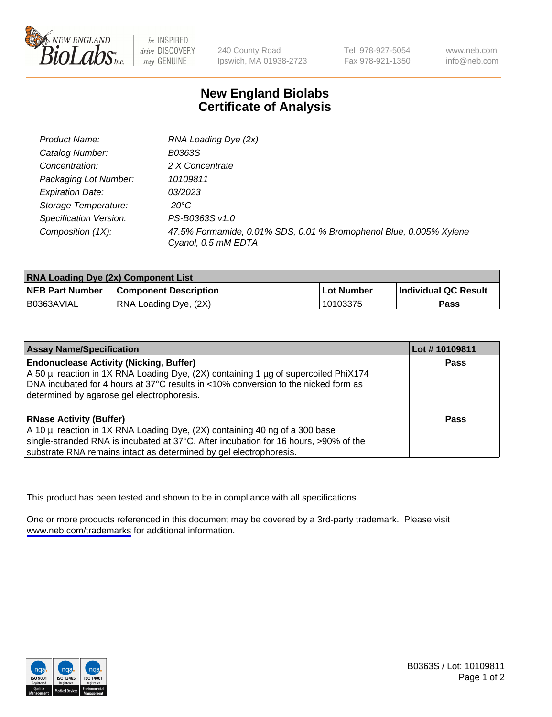

be INSPIRED drive DISCOVERY stay GENUINE

240 County Road Ipswich, MA 01938-2723

Tel 978-927-5054 Fax 978-921-1350

www.neb.com info@neb.com

## **New England Biolabs Certificate of Analysis**

| Product Name:           | RNA Loading Dye (2x)                                                                      |
|-------------------------|-------------------------------------------------------------------------------------------|
| Catalog Number:         | B0363S                                                                                    |
| Concentration:          | 2 X Concentrate                                                                           |
| Packaging Lot Number:   | 10109811                                                                                  |
| <b>Expiration Date:</b> | <i>03/2023</i>                                                                            |
| Storage Temperature:    | -20°C                                                                                     |
| Specification Version:  | PS-B0363S v1.0                                                                            |
| Composition (1X):       | 47.5% Formamide, 0.01% SDS, 0.01 % Bromophenol Blue, 0.005% Xylene<br>Cyanol, 0.5 mM EDTA |

| <b>RNA Loading Dye (2x) Component List</b> |                              |              |                      |  |
|--------------------------------------------|------------------------------|--------------|----------------------|--|
| <b>NEB Part Number</b>                     | <b>Component Description</b> | . Lot Number | Individual QC Result |  |
| B0363AVIAL                                 | RNA Loading Dye, (2X)        | 10103375     | <b>Pass</b>          |  |

| <b>Assay Name/Specification</b>                                                                                                                                                                                                                                             | Lot #10109811 |
|-----------------------------------------------------------------------------------------------------------------------------------------------------------------------------------------------------------------------------------------------------------------------------|---------------|
| <b>Endonuclease Activity (Nicking, Buffer)</b><br>A 50 µl reaction in 1X RNA Loading Dye, (2X) containing 1 µg of supercoiled PhiX174<br>DNA incubated for 4 hours at 37°C results in <10% conversion to the nicked form as<br>determined by agarose gel electrophoresis.   | <b>Pass</b>   |
| <b>RNase Activity (Buffer)</b><br>A 10 µl reaction in 1X RNA Loading Dye, (2X) containing 40 ng of a 300 base<br>single-stranded RNA is incubated at 37°C. After incubation for 16 hours, >90% of the<br>substrate RNA remains intact as determined by gel electrophoresis. | <b>Pass</b>   |

This product has been tested and shown to be in compliance with all specifications.

One or more products referenced in this document may be covered by a 3rd-party trademark. Please visit <www.neb.com/trademarks>for additional information.